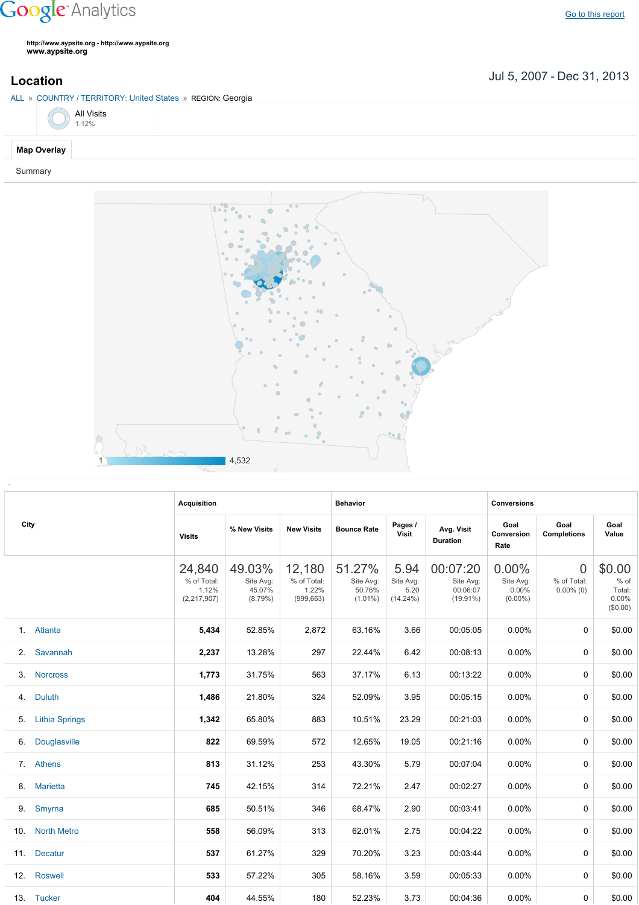## **Google** Analytics

**http://www.aypsite.org http://www.aypsite.org www.aypsite.org**

Jul 5, 2007 Dec 31, 2013 **Location**





|      |                       | <b>Acquisition</b>                            |                                          |                                              | <b>Behavior</b>                             |                                          |                                                  | <b>Conversions</b>                        |                                               |                                                    |  |
|------|-----------------------|-----------------------------------------------|------------------------------------------|----------------------------------------------|---------------------------------------------|------------------------------------------|--------------------------------------------------|-------------------------------------------|-----------------------------------------------|----------------------------------------------------|--|
| City |                       | <b>Visits</b>                                 | % New Visits                             | <b>New Visits</b>                            | <b>Bounce Rate</b>                          | Pages /<br><b>Visit</b>                  | Avg. Visit<br><b>Duration</b>                    | Goal<br>Conversion<br>Rate                | Goal<br><b>Completions</b>                    | Goal<br>Value                                      |  |
|      |                       | 24,840<br>% of Total:<br>1.12%<br>(2,217,907) | 49.03%<br>Site Avg:<br>45.07%<br>(8.79%) | 12,180<br>% of Total:<br>1.22%<br>(999, 663) | 51.27%<br>Site Avg:<br>50.76%<br>$(1.01\%)$ | 5.94<br>Site Avg:<br>5.20<br>$(14.24\%)$ | 00:07:20<br>Site Avg:<br>00:06:07<br>$(19.91\%)$ | 0.00%<br>Site Avg:<br>0.00%<br>$(0.00\%)$ | $\overline{0}$<br>% of Total:<br>$0.00\%$ (0) | \$0.00<br>$%$ of<br>Total:<br>$0.00\%$<br>(\$0.00) |  |
|      | 1. Atlanta            | 5,434                                         | 52.85%                                   | 2,872                                        | 63.16%                                      | 3.66                                     | 00:05:05                                         | 0.00%                                     | $\mathbf 0$                                   | \$0.00                                             |  |
| 2.   | Savannah              | 2,237                                         | 13.28%                                   | 297                                          | 22.44%                                      | 6.42                                     | 00:08:13                                         | 0.00%                                     | 0                                             | \$0.00                                             |  |
| 3.   | <b>Norcross</b>       | 1,773                                         | 31.75%                                   | 563                                          | 37.17%                                      | 6.13                                     | 00:13:22                                         | 0.00%                                     | 0                                             | \$0.00                                             |  |
| 4.   | <b>Duluth</b>         | 1,486                                         | 21.80%                                   | 324                                          | 52.09%                                      | 3.95                                     | 00:05:15                                         | 0.00%                                     | 0                                             | \$0.00                                             |  |
| 5.   | <b>Lithia Springs</b> | 1,342                                         | 65.80%                                   | 883                                          | 10.51%                                      | 23.29                                    | 00:21:03                                         | 0.00%                                     | 0                                             | \$0.00                                             |  |
| 6.   | Douglasville          | 822                                           | 69.59%                                   | 572                                          | 12.65%                                      | 19.05                                    | 00:21:16                                         | 0.00%                                     | 0                                             | \$0.00                                             |  |
| 7.   | Athens                | 813                                           | 31.12%                                   | 253                                          | 43.30%                                      | 5.79                                     | 00:07:04                                         | 0.00%                                     | 0                                             | \$0.00                                             |  |
| 8.   | <b>Marietta</b>       | 745                                           | 42.15%                                   | 314                                          | 72.21%                                      | 2.47                                     | 00:02:27                                         | 0.00%                                     | 0                                             | \$0.00                                             |  |
| 9.   | Smyrna                | 685                                           | 50.51%                                   | 346                                          | 68.47%                                      | 2.90                                     | 00:03:41                                         | 0.00%                                     | 0                                             | \$0.00                                             |  |
| 10.  | <b>North Metro</b>    | 558                                           | 56.09%                                   | 313                                          | 62.01%                                      | 2.75                                     | 00:04:22                                         | 0.00%                                     | 0                                             | \$0.00                                             |  |
| 11.  | <b>Decatur</b>        | 537                                           | 61.27%                                   | 329                                          | 70.20%                                      | 3.23                                     | 00:03:44                                         | 0.00%                                     | 0                                             | \$0.00                                             |  |
| 12.  | <b>Roswell</b>        | 533                                           | 57.22%                                   | 305                                          | 58.16%                                      | 3.59                                     | 00:05:33                                         | 0.00%                                     | 0                                             | \$0.00                                             |  |
|      | 13. Tucker            | 404                                           | 44.55%                                   | 180                                          | 52.23%                                      | 3.73                                     | 00:04:36                                         | $0.00\%$                                  | 0                                             | \$0.00                                             |  |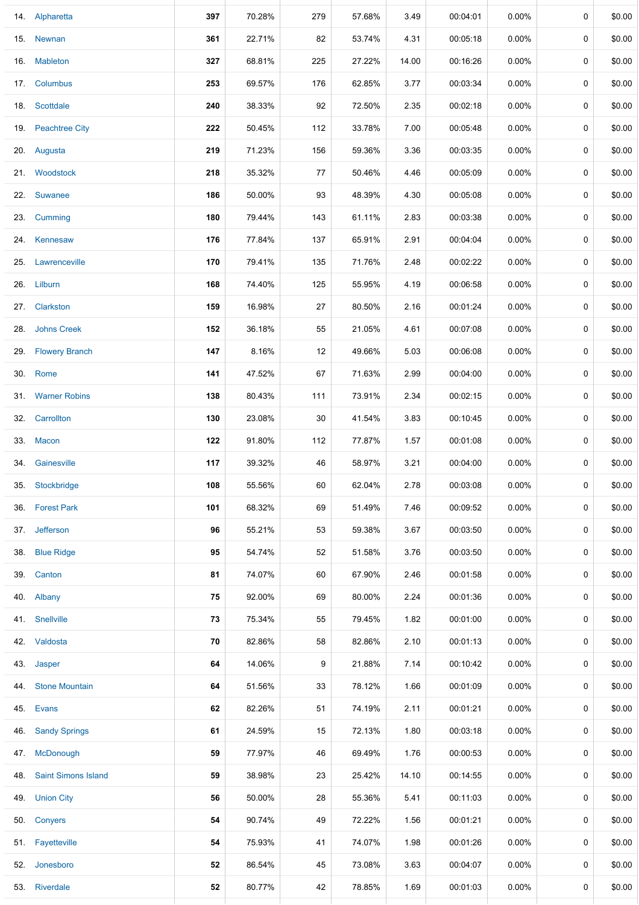|     | 14. Alpharetta             | 397 | 70.28% | 279 | 57.68% | 3.49  | 00:04:01 | 0.00%    | 0           | \$0.00 |
|-----|----------------------------|-----|--------|-----|--------|-------|----------|----------|-------------|--------|
|     | 15. Newnan                 | 361 | 22.71% | 82  | 53.74% | 4.31  | 00:05:18 | $0.00\%$ | 0           | \$0.00 |
|     | 16. Mableton               | 327 | 68.81% | 225 | 27.22% | 14.00 | 00:16:26 | 0.00%    | $\mathbf 0$ | \$0.00 |
|     | 17. Columbus               | 253 | 69.57% | 176 | 62.85% | 3.77  | 00:03:34 | 0.00%    | 0           | \$0.00 |
|     | 18. Scottdale              | 240 | 38.33% | 92  | 72.50% | 2.35  | 00:02:18 | 0.00%    | 0           | \$0.00 |
|     | 19. Peachtree City         | 222 | 50.45% | 112 | 33.78% | 7.00  | 00:05:48 | $0.00\%$ | 0           | \$0.00 |
|     | 20. Augusta                | 219 | 71.23% | 156 | 59.36% | 3.36  | 00:03:35 | $0.00\%$ | 0           | \$0.00 |
|     | 21. Woodstock              | 218 | 35.32% | 77  | 50.46% | 4.46  | 00:05:09 | $0.00\%$ | 0           | \$0.00 |
|     | 22. Suwanee                | 186 | 50.00% | 93  | 48.39% | 4.30  | 00:05:08 | $0.00\%$ | 0           | \$0.00 |
|     | 23. Cumming                | 180 | 79.44% | 143 | 61.11% | 2.83  | 00:03:38 | $0.00\%$ | 0           | \$0.00 |
|     | 24. Kennesaw               | 176 | 77.84% | 137 | 65.91% | 2.91  | 00:04:04 | $0.00\%$ | 0           | \$0.00 |
|     | 25. Lawrenceville          | 170 | 79.41% | 135 | 71.76% | 2.48  | 00:02:22 | 0.00%    | $\mathbf 0$ | \$0.00 |
|     | 26. Lilburn                | 168 | 74.40% | 125 | 55.95% | 4.19  | 00:06:58 | $0.00\%$ | 0           | \$0.00 |
|     | 27. Clarkston              | 159 | 16.98% | 27  | 80.50% | 2.16  | 00:01:24 | 0.00%    | $\mathbf 0$ | \$0.00 |
| 28. | <b>Johns Creek</b>         | 152 | 36.18% | 55  | 21.05% | 4.61  | 00:07:08 | 0.00%    | 0           | \$0.00 |
|     | 29. Flowery Branch         | 147 | 8.16%  | 12  | 49.66% | 5.03  | 00:06:08 | 0.00%    | $\mathbf 0$ | \$0.00 |
|     | 30. Rome                   | 141 | 47.52% | 67  | 71.63% | 2.99  | 00:04:00 | 0.00%    | 0           | \$0.00 |
|     | 31. Warner Robins          | 138 | 80.43% | 111 | 73.91% | 2.34  | 00:02:15 | 0.00%    | 0           | \$0.00 |
|     | 32. Carrollton             | 130 | 23.08% | 30  | 41.54% | 3.83  | 00:10:45 | 0.00%    | 0           | \$0.00 |
|     | 33. Macon                  | 122 | 91.80% | 112 | 77.87% | 1.57  | 00:01:08 | $0.00\%$ | 0           | \$0.00 |
|     | 34. Gainesville            | 117 | 39.32% | 46  | 58.97% | 3.21  | 00:04:00 | $0.00\%$ | 0           | \$0.00 |
| 35. | Stockbridge                | 108 | 55.56% | 60  | 62.04% | 2.78  | 00:03:08 | $0.00\%$ | 0           | \$0.00 |
| 36. | <b>Forest Park</b>         | 101 | 68.32% | 69  | 51.49% | 7.46  | 00:09:52 | $0.00\%$ | 0           | \$0.00 |
|     | 37. Jefferson              | 96  | 55.21% | 53  | 59.38% | 3.67  | 00:03:50 | $0.00\%$ | 0           | \$0.00 |
|     | 38. Blue Ridge             | 95  | 54.74% | 52  | 51.58% | 3.76  | 00:03:50 | 0.00%    | 0           | \$0.00 |
|     | 39. Canton                 | 81  | 74.07% | 60  | 67.90% | 2.46  | 00:01:58 | 0.00%    | 0           | \$0.00 |
|     | 40. Albany                 | 75  | 92.00% | 69  | 80.00% | 2.24  | 00:01:36 | $0.00\%$ | $\mathbf 0$ | \$0.00 |
|     | 41. Snellville             | 73  | 75.34% | 55  | 79.45% | 1.82  | 00:01:00 | $0.00\%$ | 0           | \$0.00 |
|     | 42. Valdosta               | 70  | 82.86% | 58  | 82.86% | 2.10  | 00:01:13 | 0.00%    | $\mathbf 0$ | \$0.00 |
| 43. | Jasper                     | 64  | 14.06% | 9   | 21.88% | 7.14  | 00:10:42 | 0.00%    | 0           | \$0.00 |
| 44. | <b>Stone Mountain</b>      | 64  | 51.56% | 33  | 78.12% | 1.66  | 00:01:09 | 0.00%    | 0           | \$0.00 |
|     | 45. Evans                  | 62  | 82.26% | 51  | 74.19% | 2.11  | 00:01:21 | 0.00%    | 0           | \$0.00 |
|     | 46. Sandy Springs          | 61  | 24.59% | 15  | 72.13% | 1.80  | 00:03:18 | 0.00%    | 0           | \$0.00 |
|     | 47. McDonough              | 59  | 77.97% | 46  | 69.49% | 1.76  | 00:00:53 | $0.00\%$ | 0           | \$0.00 |
| 48. | <b>Saint Simons Island</b> | 59  | 38.98% | 23  | 25.42% | 14.10 | 00:14:55 | $0.00\%$ | 0           | \$0.00 |
| 49. | <b>Union City</b>          | 56  | 50.00% | 28  | 55.36% | 5.41  | 00:11:03 | $0.00\%$ | 0           | \$0.00 |
|     | 50. Conyers                | 54  | 90.74% | 49  | 72.22% | 1.56  | 00:01:21 | 0.00%    | 0           | \$0.00 |
|     | 51. Fayetteville           | 54  | 75.93% | 41  | 74.07% | 1.98  | 00:01:26 | $0.00\%$ | 0           | \$0.00 |
|     | 52. Jonesboro              | 52  | 86.54% | 45  | 73.08% | 3.63  | 00:04:07 | $0.00\%$ | 0           | \$0.00 |
|     | 53. Riverdale              | 52  | 80.77% | 42  | 78.85% | 1.69  | 00:01:03 | $0.00\%$ | 0           | \$0.00 |
|     |                            |     |        |     |        |       |          |          |             |        |

 $\perp$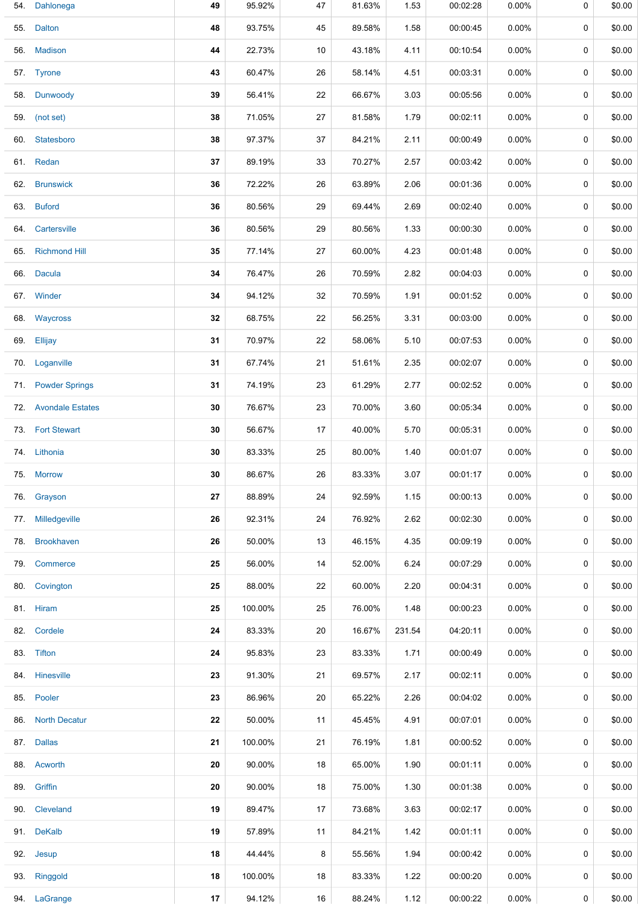| 54. | Dahlonega             | 49 | 95.92%  | 47 | 81.63% | 1.53   | 00:02:28 | 0.00%    | 0           | \$0.00 |
|-----|-----------------------|----|---------|----|--------|--------|----------|----------|-------------|--------|
| 55. | <b>Dalton</b>         | 48 | 93.75%  | 45 | 89.58% | 1.58   | 00:00:45 | $0.00\%$ | 0           | \$0.00 |
| 56. | <b>Madison</b>        | 44 | 22.73%  | 10 | 43.18% | 4.11   | 00:10:54 | $0.00\%$ | 0           | \$0.00 |
|     | 57. Tyrone            | 43 | 60.47%  | 26 | 58.14% | 4.51   | 00:03:31 | $0.00\%$ | 0           | \$0.00 |
| 58. | Dunwoody              | 39 | 56.41%  | 22 | 66.67% | 3.03   | 00:05:56 | $0.00\%$ | 0           | \$0.00 |
| 59. | (not set)             | 38 | 71.05%  | 27 | 81.58% | 1.79   | 00:02:11 | $0.00\%$ | 0           | \$0.00 |
| 60. | Statesboro            | 38 | 97.37%  | 37 | 84.21% | 2.11   | 00:00:49 | $0.00\%$ | 0           | \$0.00 |
|     | 61. Redan             | 37 | 89.19%  | 33 | 70.27% | 2.57   | 00:03:42 | $0.00\%$ | 0           | \$0.00 |
| 62. | <b>Brunswick</b>      | 36 | 72.22%  | 26 | 63.89% | 2.06   | 00:01:36 | 0.00%    | $\mathbf 0$ | \$0.00 |
| 63. | <b>Buford</b>         | 36 | 80.56%  | 29 | 69.44% | 2.69   | 00:02:40 | 0.00%    | 0           | \$0.00 |
| 64. | Cartersville          | 36 | 80.56%  | 29 | 80.56% | 1.33   | 00:00:30 | $0.00\%$ | $\mathbf 0$ | \$0.00 |
| 65. | <b>Richmond Hill</b>  | 35 | 77.14%  | 27 | 60.00% | 4.23   | 00:01:48 | $0.00\%$ | 0           | \$0.00 |
| 66. | <b>Dacula</b>         | 34 | 76.47%  | 26 | 70.59% | 2.82   | 00:04:03 | $0.00\%$ | 0           | \$0.00 |
|     | 67. Winder            | 34 | 94.12%  | 32 | 70.59% | 1.91   | 00:01:52 | $0.00\%$ | 0           | \$0.00 |
|     | 68. Waycross          | 32 | 68.75%  | 22 | 56.25% | 3.31   | 00:03:00 | $0.00\%$ | 0           | \$0.00 |
|     | 69. Ellijay           | 31 | 70.97%  | 22 | 58.06% | 5.10   | 00:07:53 | $0.00\%$ | 0           | \$0.00 |
| 70. | Loganville            | 31 | 67.74%  | 21 | 51.61% | 2.35   | 00:02:07 | $0.00\%$ | 0           | \$0.00 |
| 71. | <b>Powder Springs</b> | 31 | 74.19%  | 23 | 61.29% | 2.77   | 00:02:52 | $0.00\%$ | 0           | \$0.00 |
|     | 72. Avondale Estates  | 30 | 76.67%  | 23 | 70.00% | 3.60   | 00:05:34 | $0.00\%$ | 0           | \$0.00 |
|     | 73. Fort Stewart      | 30 | 56.67%  | 17 | 40.00% | 5.70   | 00:05:31 | $0.00\%$ | 0           | \$0.00 |
|     | 74. Lithonia          | 30 | 83.33%  | 25 | 80.00% | 1.40   | 00:01:07 | $0.00\%$ | 0           | \$0.00 |
|     | 75. Morrow            | 30 | 86.67%  | 26 | 83.33% | 3.07   | 00:01:17 | $0.00\%$ | 0           | \$0.00 |
|     | 76. Grayson           | 27 | 88.89%  | 24 | 92.59% | 1.15   | 00:00:13 | 0.00%    | 0           | \$0.00 |
|     | 77. Milledgeville     | 26 | 92.31%  | 24 | 76.92% | 2.62   | 00:02:30 | 0.00%    | 0           | \$0.00 |
| 78. | <b>Brookhaven</b>     | 26 | 50.00%  | 13 | 46.15% | 4.35   | 00:09:19 | 0.00%    | 0           | \$0.00 |
|     | 79. Commerce          | 25 | 56.00%  | 14 | 52.00% | 6.24   | 00:07:29 | $0.00\%$ | 0           | \$0.00 |
|     | 80. Covington         | 25 | 88.00%  | 22 | 60.00% | 2.20   | 00:04:31 | $0.00\%$ | 0           | \$0.00 |
|     | 81. Hiram             | 25 | 100.00% | 25 | 76.00% | 1.48   | 00:00:23 | $0.00\%$ | 0           | \$0.00 |
| 82. | Cordele               | 24 | 83.33%  | 20 | 16.67% | 231.54 | 04:20:11 | 0.00%    | 0           | \$0.00 |
|     | 83. Tifton            | 24 | 95.83%  | 23 | 83.33% | 1.71   | 00:00:49 | $0.00\%$ | 0           | \$0.00 |
|     | 84. Hinesville        | 23 | 91.30%  | 21 | 69.57% | 2.17   | 00:02:11 | $0.00\%$ | 0           | \$0.00 |
|     | 85. Pooler            | 23 | 86.96%  | 20 | 65.22% | 2.26   | 00:04:02 | $0.00\%$ | 0           | \$0.00 |
| 86. | <b>North Decatur</b>  | 22 | 50.00%  | 11 | 45.45% | 4.91   | 00:07:01 | $0.00\%$ | 0           | \$0.00 |
|     | 87. Dallas            | 21 | 100.00% | 21 | 76.19% | 1.81   | 00:00:52 | $0.00\%$ | 0           | \$0.00 |
|     | 88. Acworth           | 20 | 90.00%  | 18 | 65.00% | 1.90   | 00:01:11 | 0.00%    | 0           | \$0.00 |
|     | 89. Griffin           | 20 | 90.00%  | 18 | 75.00% | 1.30   | 00:01:38 | $0.00\%$ | 0           | \$0.00 |
| 90. | Cleveland             | 19 | 89.47%  | 17 | 73.68% | 3.63   | 00:02:17 | $0.00\%$ | 0           | \$0.00 |
|     | 91. DeKalb            | 19 | 57.89%  | 11 | 84.21% | 1.42   | 00:01:11 | $0.00\%$ | 0           | \$0.00 |
| 92. | Jesup                 | 18 | 44.44%  | 8  | 55.56% | 1.94   | 00:00:42 | 0.00%    | 0           | \$0.00 |
|     | 93. Ringgold          | 18 | 100.00% | 18 | 83.33% | 1.22   | 00:00:20 | $0.00\%$ | 0           | \$0.00 |
|     | 94. LaGrange          | 17 | 94.12%  | 16 | 88.24% | 1.12   | 00:00:22 | $0.00\%$ | 0           | \$0.00 |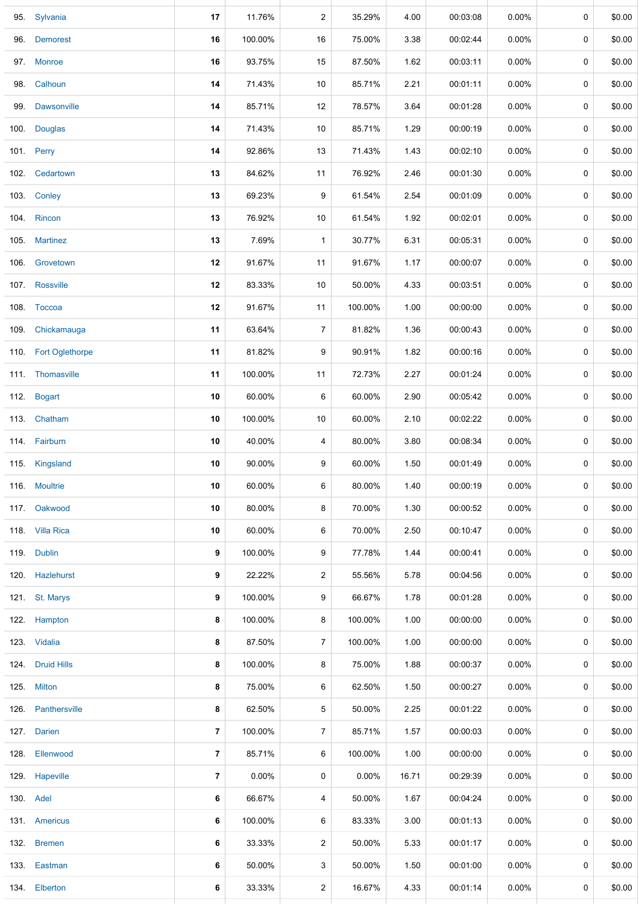|      | 95. Sylvania         | 17             | 11.76%  | $\overline{c}$ | 35.29%   | 4.00  | 00:03:08 | 0.00%    | 0           | \$0.00 |
|------|----------------------|----------------|---------|----------------|----------|-------|----------|----------|-------------|--------|
|      | 96. Demorest         | 16             | 100.00% | 16             | 75.00%   | 3.38  | 00:02:44 | $0.00\%$ | 0           | \$0.00 |
|      | 97. Monroe           | 16             | 93.75%  | 15             | 87.50%   | 1.62  | 00:03:11 | $0.00\%$ | $\mathbf 0$ | \$0.00 |
|      | 98. Calhoun          | 14             | 71.43%  | 10             | 85.71%   | 2.21  | 00:01:11 | $0.00\%$ | 0           | \$0.00 |
|      | 99. Dawsonville      | 14             | 85.71%  | 12             | 78.57%   | 3.64  | 00:01:28 | $0.00\%$ | 0           | \$0.00 |
|      | 100. Douglas         | 14             | 71.43%  | 10             | 85.71%   | 1.29  | 00:00:19 | $0.00\%$ | 0           | \$0.00 |
|      | 101. Perry           | 14             | 92.86%  | 13             | 71.43%   | 1.43  | 00:02:10 | $0.00\%$ | 0           | \$0.00 |
|      | 102. Cedartown       | 13             | 84.62%  | 11             | 76.92%   | 2.46  | 00:01:30 | $0.00\%$ | 0           | \$0.00 |
|      | 103. Conley          | 13             | 69.23%  | 9              | 61.54%   | 2.54  | 00:01:09 | 0.00%    | 0           | \$0.00 |
| 104. | Rincon               | 13             | 76.92%  | 10             | 61.54%   | 1.92  | 00:02:01 | $0.00\%$ | 0           | \$0.00 |
|      | 105. Martinez        | 13             | 7.69%   | $\mathbf{1}$   | 30.77%   | 6.31  | 00:05:31 | 0.00%    | 0           | \$0.00 |
| 106. | Grovetown            | 12             | 91.67%  | 11             | 91.67%   | 1.17  | 00:00:07 | $0.00\%$ | 0           | \$0.00 |
|      | 107. Rossville       | 12             | 83.33%  | 10             | 50.00%   | 4.33  | 00:03:51 | 0.00%    | 0           | \$0.00 |
|      | 108. Toccoa          | 12             | 91.67%  | 11             | 100.00%  | 1.00  | 00:00:00 | $0.00\%$ | 0           | \$0.00 |
|      | 109. Chickamauga     | 11             | 63.64%  | $\overline{7}$ | 81.82%   | 1.36  | 00:00:43 | $0.00\%$ | 0           | \$0.00 |
|      | 110. Fort Oglethorpe | 11             | 81.82%  | 9              | 90.91%   | 1.82  | 00:00:16 | $0.00\%$ | 0           | \$0.00 |
|      | 111. Thomasville     | 11             | 100.00% | 11             | 72.73%   | 2.27  | 00:01:24 | $0.00\%$ | 0           | \$0.00 |
|      | 112. Bogart          | 10             | 60.00%  | 6              | 60.00%   | 2.90  | 00:05:42 | $0.00\%$ | 0           | \$0.00 |
|      | 113. Chatham         | 10             | 100.00% | 10             | 60.00%   | 2.10  | 00:02:22 | $0.00\%$ | 0           | \$0.00 |
|      | 114. Fairburn        | 10             | 40.00%  | 4              | 80.00%   | 3.80  | 00:08:34 | 0.00%    | 0           | \$0.00 |
|      | 115. Kingsland       | 10             | 90.00%  | 9              | 60.00%   | 1.50  | 00:01:49 | $0.00\%$ | 0           | \$0.00 |
|      | 116. Moultrie        | 10             | 60.00%  | 6              | 80.00%   | 1.40  | 00:00:19 | $0.00\%$ | 0           | \$0.00 |
|      | 117. Oakwood         | 10             | 80.00%  | 8              | 70.00%   | 1.30  | 00:00:52 | $0.00\%$ | $\mathbf 0$ | \$0.00 |
|      | 118. Villa Rica      | 10             | 60.00%  | 6              | 70.00%   | 2.50  | 00:10:47 | $0.00\%$ | 0           | \$0.00 |
|      | 119. Dublin          | 9              | 100.00% | 9              | 77.78%   | 1.44  | 00:00:41 | $0.00\%$ | 0           | \$0.00 |
|      | 120. Hazlehurst      | 9              | 22.22%  | 2              | 55.56%   | 5.78  | 00:04:56 | $0.00\%$ | 0           | \$0.00 |
|      | 121. St. Marys       | 9              | 100.00% | 9              | 66.67%   | 1.78  | 00:01:28 | $0.00\%$ | 0           | \$0.00 |
|      | 122. Hampton         | 8              | 100.00% | 8              | 100.00%  | 1.00  | 00:00:00 | $0.00\%$ | 0           | \$0.00 |
|      | 123. Vidalia         | 8              | 87.50%  | $\overline{7}$ | 100.00%  | 1.00  | 00:00:00 | $0.00\%$ | 0           | \$0.00 |
|      | 124. Druid Hills     | 8              | 100.00% | 8              | 75.00%   | 1.88  | 00:00:37 | $0.00\%$ | 0           | \$0.00 |
|      | 125. Milton          | 8              | 75.00%  | 6              | 62.50%   | 1.50  | 00:00:27 | $0.00\%$ | 0           | \$0.00 |
|      | 126. Panthersville   | 8              | 62.50%  | 5              | 50.00%   | 2.25  | 00:01:22 | $0.00\%$ | 0           | \$0.00 |
|      | 127. Darien          | 7              | 100.00% | 7              | 85.71%   | 1.57  | 00:00:03 | $0.00\%$ | 0           | \$0.00 |
|      | 128. Ellenwood       | $\overline{7}$ | 85.71%  | 6              | 100.00%  | 1.00  | 00:00:00 | $0.00\%$ | 0           | \$0.00 |
|      | 129. Hapeville       | 7              | 0.00%   | 0              | $0.00\%$ | 16.71 | 00:29:39 | $0.00\%$ | 0           | \$0.00 |
|      | 130. Adel            | 6              | 66.67%  | 4              | 50.00%   | 1.67  | 00:04:24 | $0.00\%$ | 0           | \$0.00 |
|      | 131. Americus        | 6              | 100.00% | 6              | 83.33%   | 3.00  | 00:01:13 | $0.00\%$ | 0           | \$0.00 |
|      | 132. Bremen          | 6              | 33.33%  | $\overline{2}$ | 50.00%   | 5.33  | 00:01:17 | $0.00\%$ | 0           | \$0.00 |
|      | 133. Eastman         | 6              | 50.00%  | 3              | 50.00%   | 1.50  | 00:01:00 | $0.00\%$ | 0           | \$0.00 |
|      | 134. Elberton        | 6              | 33.33%  | $\overline{c}$ | 16.67%   | 4.33  | 00:01:14 | $0.00\%$ | 0           | \$0.00 |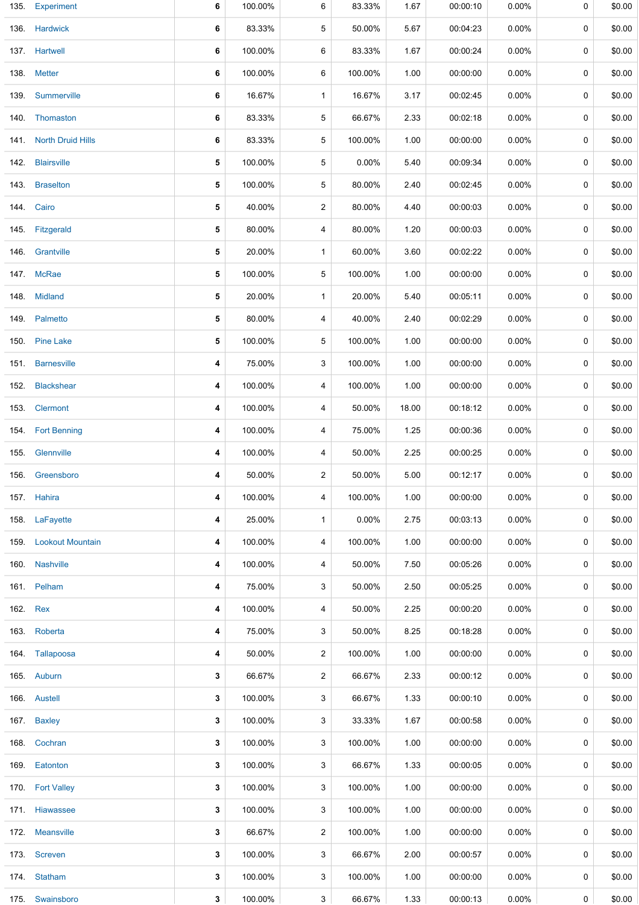|          | 135. Experiment          | 6 | 100.00% | 6              | 83.33%   | 1.67  | 00:00:10 | 0.00%    | 0           | \$0.00 |
|----------|--------------------------|---|---------|----------------|----------|-------|----------|----------|-------------|--------|
|          | 136. Hardwick            | 6 | 83.33%  | 5              | 50.00%   | 5.67  | 00:04:23 | $0.00\%$ | 0           | \$0.00 |
|          | 137. Hartwell            | 6 | 100.00% | 6              | 83.33%   | 1.67  | 00:00:24 | $0.00\%$ | 0           | \$0.00 |
|          | 138. Metter              | 6 | 100.00% | 6              | 100.00%  | 1.00  | 00:00:00 | $0.00\%$ | 0           | \$0.00 |
| 139.     | Summerville              | 6 | 16.67%  | $\mathbf{1}$   | 16.67%   | 3.17  | 00:02:45 | $0.00\%$ | 0           | \$0.00 |
|          | 140. Thomaston           | 6 | 83.33%  | 5              | 66.67%   | 2.33  | 00:02:18 | $0.00\%$ | 0           | \$0.00 |
| 141.     | <b>North Druid Hills</b> | 6 | 83.33%  | 5              | 100.00%  | 1.00  | 00:00:00 | $0.00\%$ | 0           | \$0.00 |
| 142.     | <b>Blairsville</b>       | 5 | 100.00% | 5              | $0.00\%$ | 5.40  | 00:09:34 | $0.00\%$ | 0           | \$0.00 |
| 143.     | <b>Braselton</b>         | 5 | 100.00% | 5              | 80.00%   | 2.40  | 00:02:45 | $0.00\%$ | 0           | \$0.00 |
|          | 144. Cairo               | 5 | 40.00%  | 2              | 80.00%   | 4.40  | 00:00:03 | $0.00\%$ | 0           | \$0.00 |
|          | 145. Fitzgerald          | 5 | 80.00%  | 4              | 80.00%   | 1.20  | 00:00:03 | $0.00\%$ | $\mathbf 0$ | \$0.00 |
| 146.     | Grantville               | 5 | 20.00%  | $\mathbf{1}$   | 60.00%   | 3.60  | 00:02:22 | $0.00\%$ | 0           | \$0.00 |
|          | 147. McRae               | 5 | 100.00% | 5              | 100.00%  | 1.00  | 00:00:00 | $0.00\%$ | 0           | \$0.00 |
|          | 148. Midland             | 5 | 20.00%  | $\mathbf{1}$   | 20.00%   | 5.40  | 00:05:11 | $0.00\%$ | 0           | \$0.00 |
|          | 149. Palmetto            | 5 | 80.00%  | 4              | 40.00%   | 2.40  | 00:02:29 | $0.00\%$ | 0           | \$0.00 |
|          | 150. Pine Lake           | 5 | 100.00% | 5              | 100.00%  | 1.00  | 00:00:00 | $0.00\%$ | 0           | \$0.00 |
|          | 151. Barnesville         | 4 | 75.00%  | 3              | 100.00%  | 1.00  | 00:00:00 | $0.00\%$ | 0           | \$0.00 |
| 152.     | <b>Blackshear</b>        | 4 | 100.00% | 4              | 100.00%  | 1.00  | 00:00:00 | $0.00\%$ | 0           | \$0.00 |
|          | 153. Clermont            | 4 | 100.00% | 4              | 50.00%   | 18.00 | 00:18:12 | 0.00%    | 0           | \$0.00 |
|          | 154. Fort Benning        | 4 | 100.00% | 4              | 75.00%   | 1.25  | 00:00:36 | $0.00\%$ | 0           | \$0.00 |
| 155.     | Glennville               | 4 | 100.00% | 4              | 50.00%   | 2.25  | 00:00:25 | $0.00\%$ | 0           | \$0.00 |
|          | 156. Greensboro          | 4 | 50.00%  | 2              | 50.00%   | 5.00  | 00:12:17 | $0.00\%$ | 0           | \$0.00 |
|          | 157. Hahira              | 4 | 100.00% | 4              | 100.00%  | 1.00  | 00:00:00 | $0.00\%$ | 0           | \$0.00 |
|          | 158. LaFayette           | 4 | 25.00%  | $\mathbf{1}$   | $0.00\%$ | 2.75  | 00:03:13 | $0.00\%$ | 0           | \$0.00 |
|          | 159. Lookout Mountain    | 4 | 100.00% | 4              | 100.00%  | 1.00  | 00:00:00 | $0.00\%$ | 0           | \$0.00 |
|          | 160. Nashville           | 4 | 100.00% | 4              | 50.00%   | 7.50  | 00:05:26 | $0.00\%$ | 0           | \$0.00 |
|          | 161. Pelham              | 4 | 75.00%  | 3              | 50.00%   | 2.50  | 00:05:25 | $0.00\%$ | 0           | \$0.00 |
| 162. Rex |                          | 4 | 100.00% | 4              | 50.00%   | 2.25  | 00:00:20 | $0.00\%$ | 0           | \$0.00 |
|          | 163. Roberta             | 4 | 75.00%  | 3              | 50.00%   | 8.25  | 00:18:28 | $0.00\%$ | 0           | \$0.00 |
|          | 164. Tallapoosa          | 4 | 50.00%  | 2              | 100.00%  | 1.00  | 00:00:00 | $0.00\%$ | 0           | \$0.00 |
|          | 165. Auburn              | 3 | 66.67%  | $\overline{2}$ | 66.67%   | 2.33  | 00:00:12 | $0.00\%$ | 0           | \$0.00 |
|          | 166. Austell             | 3 | 100.00% | 3              | 66.67%   | 1.33  | 00:00:10 | $0.00\%$ | 0           | \$0.00 |
|          | 167. Baxley              | 3 | 100.00% | 3              | 33.33%   | 1.67  | 00:00:58 | $0.00\%$ | 0           | \$0.00 |
|          | 168. Cochran             | 3 | 100.00% | 3              | 100.00%  | 1.00  | 00:00:00 | $0.00\%$ | 0           | \$0.00 |
|          | 169. Eatonton            | 3 | 100.00% | 3              | 66.67%   | 1.33  | 00:00:05 | $0.00\%$ | 0           | \$0.00 |
|          | 170. Fort Valley         | 3 | 100.00% | 3              | 100.00%  | 1.00  | 00:00:00 | $0.00\%$ | 0           | \$0.00 |
|          | 171. Hiawassee           | 3 | 100.00% | 3              | 100.00%  | 1.00  | 00:00:00 | $0.00\%$ | 0           | \$0.00 |
|          | 172. Meansville          | 3 | 66.67%  | 2              | 100.00%  | 1.00  | 00:00:00 | $0.00\%$ | 0           | \$0.00 |
|          | 173. Screven             | 3 | 100.00% | 3              | 66.67%   | 2.00  | 00:00:57 | $0.00\%$ | 0           | \$0.00 |
|          | 174. Statham             | 3 | 100.00% | 3              | 100.00%  | 1.00  | 00:00:00 | $0.00\%$ | 0           | \$0.00 |
|          | 175. Swainsboro          | 3 | 100.00% | 3              | 66.67%   | 1.33  | 00:00:13 | $0.00\%$ | 0           | \$0.00 |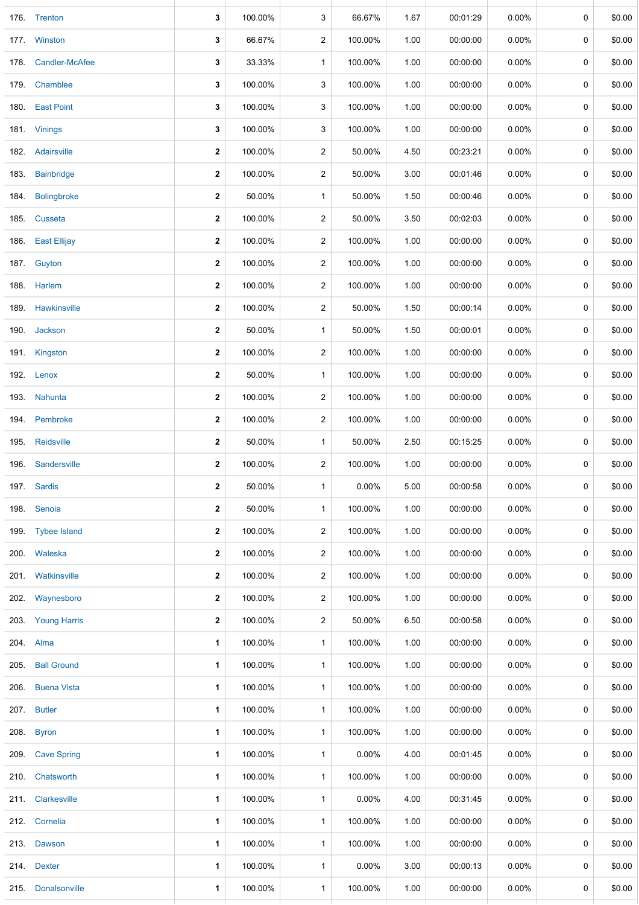| 176. Trenton<br>177. Winston | 3<br>3       | 100.00%<br>66.67% | 3              | 66.67%   | 1.67<br>1.00 | 00:01:29 | 0.00%    | 0           | \$0.00 |
|------------------------------|--------------|-------------------|----------------|----------|--------------|----------|----------|-------------|--------|
|                              |              |                   |                |          |              |          |          |             |        |
|                              |              |                   | $\overline{2}$ | 100.00%  |              | 00:00:00 | 0.00%    | 0           | \$0.00 |
| 178. Candler-McAfee          | 3            | 33.33%            | $\mathbf{1}$   | 100.00%  | 1.00         | 00:00:00 | 0.00%    | 0           | \$0.00 |
| 179. Chamblee                | 3            | 100.00%           | 3              | 100.00%  | 1.00         | 00:00:00 | $0.00\%$ | 0           | \$0.00 |
| 180. East Point              | 3            | 100.00%           | 3              | 100.00%  | 1.00         | 00:00:00 | 0.00%    | 0           | \$0.00 |
| 181. Vinings                 | 3            | 100.00%           | 3              | 100.00%  | 1.00         | 00:00:00 | $0.00\%$ | 0           | \$0.00 |
| 182. Adairsville             | 2            | 100.00%           | $\overline{2}$ | 50.00%   | 4.50         | 00:23:21 | 0.00%    | 0           | \$0.00 |
| <b>Bainbridge</b>            | $\mathbf{2}$ | 100.00%           | $\overline{2}$ | 50.00%   | 3.00         | 00:01:46 | $0.00\%$ | 0           | \$0.00 |
| <b>Bolingbroke</b><br>184.   | 2            | 50.00%            | $\mathbf{1}$   | 50.00%   | 1.50         | 00:00:46 | $0.00\%$ | 0           | \$0.00 |
| 185. Cusseta                 | 2            | 100.00%           | $\overline{2}$ | 50.00%   | 3.50         | 00:02:03 | $0.00\%$ | 0           | \$0.00 |
| 186. East Ellijay            | 2            | 100.00%           | $\overline{c}$ | 100.00%  | 1.00         | 00:00:00 | $0.00\%$ | 0           | \$0.00 |
| 187. Guyton                  | 2            | 100.00%           | $\overline{c}$ | 100.00%  | 1.00         | 00:00:00 | $0.00\%$ | 0           | \$0.00 |
| 188. Harlem                  | 2            | 100.00%           | $\overline{c}$ | 100.00%  | 1.00         | 00:00:00 | $0.00\%$ | 0           | \$0.00 |
| 189. Hawkinsville            | 2            | 100.00%           | $\overline{2}$ | 50.00%   | 1.50         | 00:00:14 | $0.00\%$ | 0           | \$0.00 |
| Jackson<br>190.              | 2            | 50.00%            | $\mathbf{1}$   | 50.00%   | 1.50         | 00:00:01 | $0.00\%$ | 0           | \$0.00 |
| 191. Kingston                | 2            | 100.00%           | $\overline{2}$ | 100.00%  | 1.00         | 00:00:00 | 0.00%    | 0           | \$0.00 |
| 192. Lenox                   | 2            | 50.00%            | $\mathbf{1}$   | 100.00%  | 1.00         | 00:00:00 | $0.00\%$ | 0           | \$0.00 |
| 193. Nahunta                 | 2            | 100.00%           | $\overline{2}$ | 100.00%  | 1.00         | 00:00:00 | 0.00%    | 0           | \$0.00 |
| 194. Pembroke                | $\mathbf{2}$ | 100.00%           | $\overline{c}$ | 100.00%  | 1.00         | 00:00:00 | $0.00\%$ | 0           | \$0.00 |
| 195. Reidsville              | 2            | 50.00%            | $\mathbf{1}$   | 50.00%   | 2.50         | 00:15:25 | $0.00\%$ | $\mathbf 0$ | \$0.00 |
| Sandersville                 | 2            | 100.00%           | $\overline{2}$ | 100.00%  | 1.00         | 00:00:00 | $0.00\%$ | 0           | \$0.00 |
| 197. Sardis                  | 2            | 50.00%            | $\mathbf{1}$   | 0.00%    | 5.00         | 00:00:58 | 0.00%    | 0           | \$0.00 |
| 198. Senoia                  | 2            | 50.00%            | $\mathbf{1}$   | 100.00%  | 1.00         | 00:00:00 | $0.00\%$ | 0           | \$0.00 |
| 199. Tybee Island            | 2            | 100.00%           | 2              | 100.00%  | 1.00         | 00:00:00 | $0.00\%$ | 0           | \$0.00 |
| 200. Waleska                 | 2            | 100.00%           | $\overline{c}$ | 100.00%  | 1.00         | 00:00:00 | $0.00\%$ | 0           | \$0.00 |
| 201. Watkinsville            | 2            | 100.00%           | 2              | 100.00%  | 1.00         | 00:00:00 | $0.00\%$ | 0           | \$0.00 |
| Waynesboro<br>202.           | 2            | 100.00%           | $\overline{c}$ | 100.00%  | 1.00         | 00:00:00 | $0.00\%$ | 0           | \$0.00 |
| 203. Young Harris            | 2            | 100.00%           | 2              | 50.00%   | 6.50         | 00:00:58 | $0.00\%$ | 0           | \$0.00 |
| 204. Alma                    | 1            | 100.00%           | $\mathbf{1}$   | 100.00%  | 1.00         | 00:00:00 | $0.00\%$ | 0           | \$0.00 |
| <b>Ball Ground</b>           | 1            | 100.00%           | 1              | 100.00%  | 1.00         | 00:00:00 | $0.00\%$ | 0           | \$0.00 |
| <b>Buena Vista</b>           | 1            | 100.00%           | $\mathbf{1}$   | 100.00%  | 1.00         | 00:00:00 | $0.00\%$ | 0           | \$0.00 |
| 207. Butler                  | 1            | 100.00%           | $\mathbf{1}$   | 100.00%  | 1.00         | 00:00:00 | $0.00\%$ | 0           | \$0.00 |
| <b>Byron</b>                 | 1            | 100.00%           | $\mathbf{1}$   | 100.00%  | 1.00         | 00:00:00 | $0.00\%$ | 0           | \$0.00 |
| 209 Cave Spring              | 1            | 100.00%           | 1              | $0.00\%$ | 4.00         | 00:01:45 | $0.00\%$ | 0           | \$0.00 |
| 210. Chatsworth              | 1            | 100.00%           | 1              | 100.00%  | 1.00         | 00:00:00 | 0.00%    | 0           | \$0.00 |
| 211. Clarkesville            | 1            | 100.00%           | $\mathbf{1}$   | $0.00\%$ | 4.00         | 00:31:45 | $0.00\%$ | 0           | \$0.00 |
| 212. Cornelia                | 1            | 100.00%           | $\mathbf{1}$   | 100.00%  | 1.00         | 00:00:00 | $0.00\%$ | 0           | \$0.00 |
| 213. Dawson                  | 1            | 100.00%           | 1              | 100.00%  | 1.00         | 00:00:00 | $0.00\%$ | 0           | \$0.00 |
| 214. Dexter                  | 1            | 100.00%           | 1              | $0.00\%$ | 3.00         | 00:00:13 | $0.00\%$ | 0           | \$0.00 |
| 215. Donalsonville           | 1            | 100.00%           | $\mathbf{1}$   | 100.00%  | 1.00         | 00:00:00 | $0.00\%$ | 0           | \$0.00 |
|                              |              |                   |                |          |              |          |          |             |        |